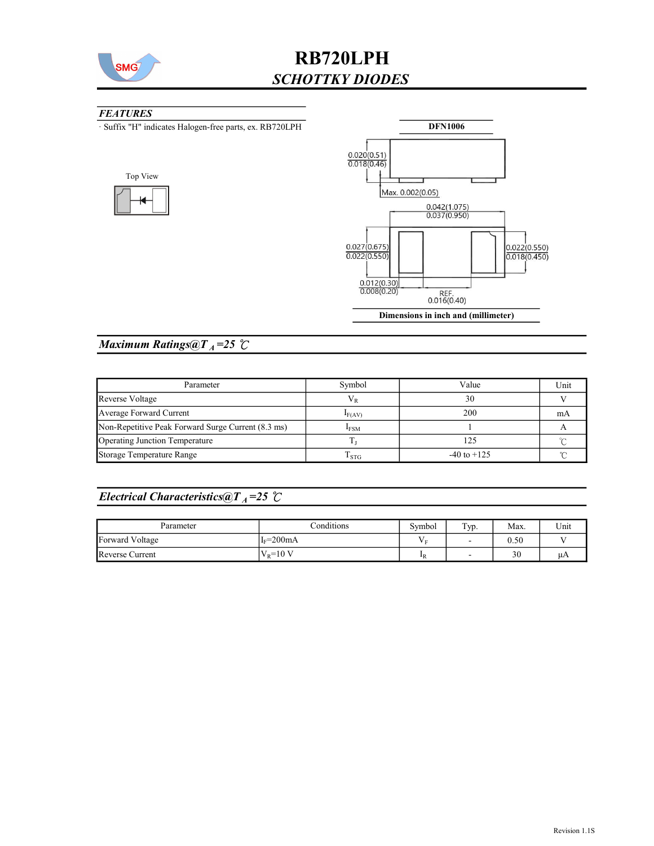

#### **FEATURES**

· Suffix "H" indicates Halogen-free parts, ex. RB720LPH





## Maximum Ratings@ $T_A = 25$   $\degree$ C

| Parameter                                          | Symbol      | Value           | Unit |
|----------------------------------------------------|-------------|-----------------|------|
| Reverse Voltage                                    | V p         | 30              |      |
| Average Forward Current                            | $I_{F(AV)}$ | 200             | mA   |
| Non-Repetitive Peak Forward Surge Current (8.3 ms) | <b>IFSM</b> |                 |      |
| Operating Junction Temperature                     |             | 125             |      |
| Storage Temperature Range                          | l STG       | $-40$ to $+125$ |      |

### Electrical Characteristics@T<sub>A</sub>=25  $\mathcal{C}$

| Parameter       | Conditions | Svmbol                    | Typ.                     | Max. | Unit |
|-----------------|------------|---------------------------|--------------------------|------|------|
| Forward Voltage | $IF=200mA$ | -                         | $\overline{\phantom{0}}$ | 0.50 |      |
| Reverse Current | $V_p=10 V$ | $\mathbf{I}$ <sub>R</sub> | $\overline{\phantom{a}}$ | 30   | иA   |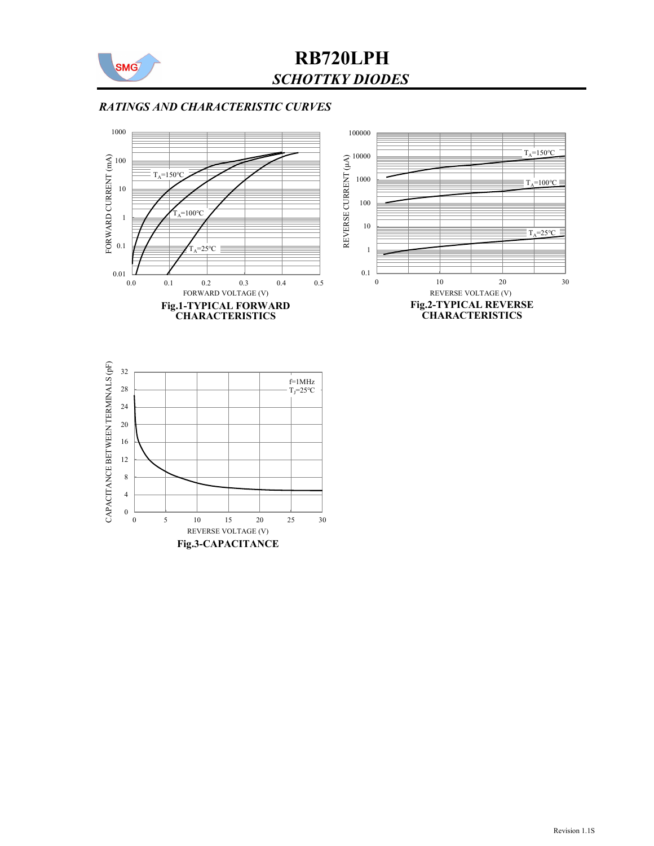

#### RATINGS AND CHARACTERISTIC CURVES



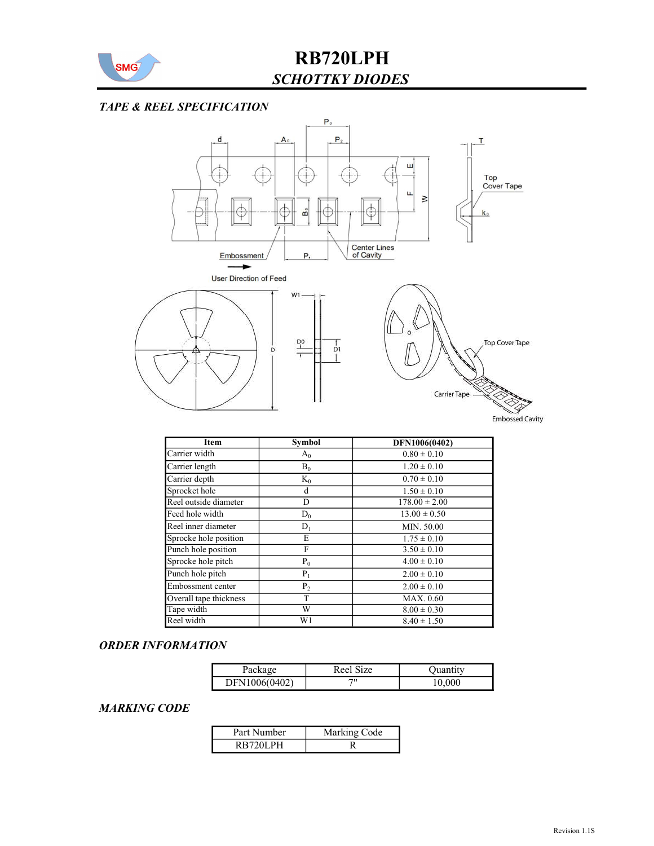

### TAPE & REEL SPECIFICATION



| Item                   | <b>Symbol</b> | DFN1006(0402)     |
|------------------------|---------------|-------------------|
| Carrier width          | $A_0$         | $0.80 \pm 0.10$   |
| Carrier length         | $B_0$         | $1.20 \pm 0.10$   |
| Carrier depth          | $K_0$         | $0.70 \pm 0.10$   |
| Sprocket hole          | d             | $1.50 \pm 0.10$   |
| Reel outside diameter  | D             | $178.00 \pm 2.00$ |
| Feed hole width        | $D_0$         | $13.00 \pm 0.50$  |
| Reel inner diameter    | $D_1$         | MIN. 50.00        |
| Sprocke hole position  | E             | $1.75 \pm 0.10$   |
| Punch hole position    | F             | $3.50 \pm 0.10$   |
| Sprocke hole pitch     | $P_0$         | $4.00 \pm 0.10$   |
| Punch hole pitch       | $P_1$         | $2.00 \pm 0.10$   |
| Embossment center      | $P_2$         | $2.00 \pm 0.10$   |
| Overall tape thickness | T             | MAX. 0.60         |
| Tape width             | W             | $8.00 \pm 0.30$   |
| Reel width             | W1            | $8.40 \pm 1.50$   |

#### ORDER INFORMATION

| Package       | Reel Size | Ouantitv |
|---------------|-----------|----------|
| DFN1006(0402) | יי        | 10,000   |

#### MARKING CODE

| Part Number | Marking Code |
|-------------|--------------|
| 101 PH      |              |